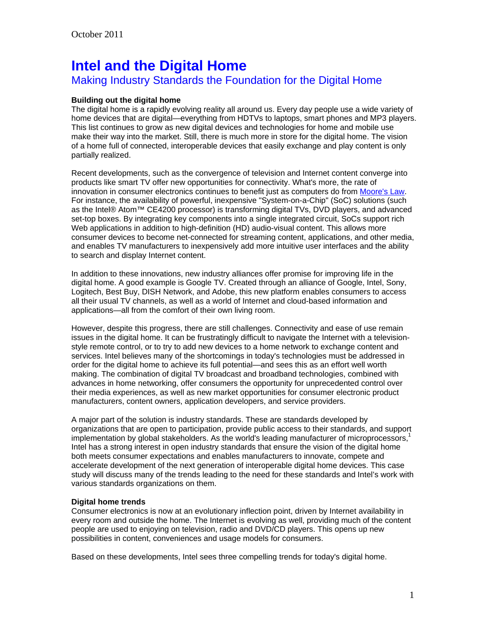# **Intel and the Digital Home**

## Making Industry Standards the Foundation for the Digital Home

## **Building out the digital home**

The digital home is a rapidly evolving reality all around us. Every day people use a wide variety of home devices that are digital—everything from HDTVs to laptops, smart phones and MP3 players. This list continues to grow as new digital devices and technologies for home and mobile use make their way into the market. Still, there is much more in store for the digital home. The vision of a home full of connected, interoperable devices that easily exchange and play content is only partially realized.

Recent developments, such as the convergence of television and Internet content converge into products like smart TV offer new opportunities for connectivity. What's more, the rate of innovation in consumer electronics continues to benefit just as computers do from [Moore's Law.](http://www.intel.com/content/www/us/en/silicon-innovations/moores-law-technology.html) For instance, the availability of powerful, inexpensive "System-on-a-Chip" (SoC) solutions (such as the Intel® Atom™ CE4200 processor) is transforming digital TVs, DVD players, and advanced set-top boxes. By integrating key components into a single integrated circuit, SoCs support rich Web applications in addition to high-definition (HD) audio-visual content. This allows more consumer devices to become net-connected for streaming content, applications, and other media, and enables TV manufacturers to inexpensively add more intuitive user interfaces and the ability to search and display Internet content.

In addition to these innovations, new industry alliances offer promise for improving life in the digital home. A good example is Google TV. Created through an alliance of Google, Intel, Sony, Logitech, Best Buy, DISH Network, and Adobe, this new platform enables consumers to access all their usual TV channels, as well as a world of Internet and cloud-based information and applications—all from the comfort of their own living room.

However, despite this progress, there are still challenges. Connectivity and ease of use remain issues in the digital home. It can be frustratingly difficult to navigate the Internet with a televisionstyle remote control, or to try to add new devices to a home network to exchange content and services. Intel believes many of the shortcomings in today's technologies must be addressed in order for the digital home to achieve its full potential—and sees this as an effort well worth making. The combination of digital TV broadcast and broadband technologies, combined with advances in home networking, offer consumers the opportunity for unprecedented control over their media experiences, as well as new market opportunities for consumer electronic product manufacturers, content owners, application developers, and service providers.

A major part of the solution is industry standards. These are standards developed by organizations that are open to participation, provide public access to their standards, and support implementation by global stakeholders. As the world's leading manufacturer of microprocessors.<sup>1</sup> Intel has a strong interest in open industry standards that ensure the vision of the digital home both meets consumer expectations and enables manufacturers to innovate, compete and accelerate development of the next generation of interoperable digital home devices. This case study will discuss many of the trends leading to the need for these standards and Intel's work with various standards organizations on them.

## **Digital home trends**

Consumer electronics is now at an evolutionary inflection point, driven by Internet availability in every room and outside the home. The Internet is evolving as well, providing much of the content people are used to enjoying on television, radio and DVD/CD players. This opens up new possibilities in content, conveniences and usage models for consumers.

Based on these developments, Intel sees three compelling trends for today's digital home.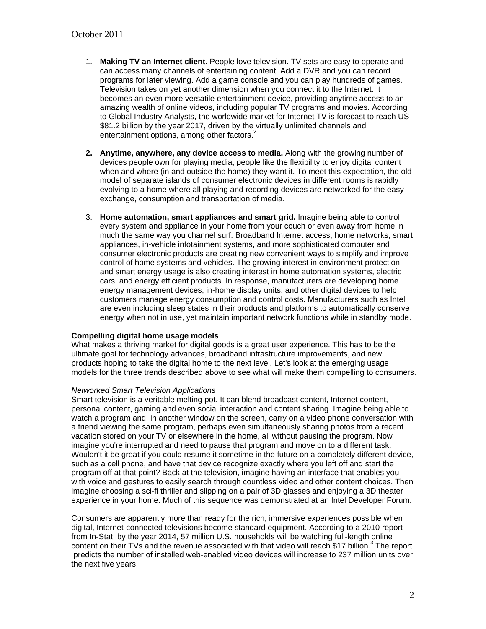- 1. **Making TV an Internet client.** People love television. TV sets are easy to operate and can access many channels of entertaining content. Add a DVR and you can record programs for later viewing. Add a game console and you can play hundreds of games. Television takes on yet another dimension when you connect it to the Internet. It becomes an even more versatile entertainment device, providing anytime access to an amazing wealth of online videos, including popular TV programs and movies. According to Global Industry Analysts, the worldwide market for Internet TV is forecast to reach US \$81.2 billion by the year 2017, driven by the virtually unlimited channels and entertainment options, among other factors.<sup>2</sup>
- **2. Anytime, anywhere, any device access to media.** Along with the growing number of devices people own for playing media, people like the flexibility to enjoy digital content when and where (in and outside the home) they want it. To meet this expectation, the old model of separate islands of consumer electronic devices in different rooms is rapidly evolving to a home where all playing and recording devices are networked for the easy exchange, consumption and transportation of media.
- 3. **Home automation, smart appliances and smart grid.** Imagine being able to control every system and appliance in your home from your couch or even away from home in much the same way you channel surf. Broadband Internet access, home networks, smart appliances, in-vehicle infotainment systems, and more sophisticated computer and consumer electronic products are creating new convenient ways to simplify and improve control of home systems and vehicles. The growing interest in environment protection and smart energy usage is also creating interest in home automation systems, electric cars, and energy efficient products. In response, manufacturers are developing home energy management devices, in-home display units, and other digital devices to help customers manage energy consumption and control costs. Manufacturers such as Intel are even including sleep states in their products and platforms to automatically conserve energy when not in use, yet maintain important network functions while in standby mode.

## **Compelling digital home usage models**

What makes a thriving market for digital goods is a great user experience. This has to be the ultimate goal for technology advances, broadband infrastructure improvements, and new products hoping to take the digital home to the next level. Let's look at the emerging usage models for the three trends described above to see what will make them compelling to consumers.

## *Networked Smart Television Applications*

Smart television is a veritable melting pot. It can blend broadcast content, Internet content, personal content, gaming and even social interaction and content sharing. Imagine being able to watch a program and, in another window on the screen, carry on a video phone conversation with a friend viewing the same program, perhaps even simultaneously sharing photos from a recent vacation stored on your TV or elsewhere in the home, all without pausing the program. Now imagine you're interrupted and need to pause that program and move on to a different task. Wouldn't it be great if you could resume it sometime in the future on a completely different device, such as a cell phone, and have that device recognize exactly where you left off and start the program off at that point? Back at the television, imagine having an interface that enables you with voice and gestures to easily search through countless video and other content choices. Then imagine choosing a sci-fi thriller and slipping on a pair of 3D glasses and enjoying a 3D theater experience in your home. Much of this sequence was demonstrated at an Intel Developer Forum.

Consumers are apparently more than ready for the rich, immersive experiences possible when digital, Internet-connected televisions become standard equipment. According to a 2010 report from In-Stat, by the year 2014, 57 million U.S. households will be watching full-length online content on their TVs and the revenue associated with that video will reach \$17 billion.<sup>3</sup> The report predicts the number of installed web-enabled video devices will increase to 237 million units over the next five years.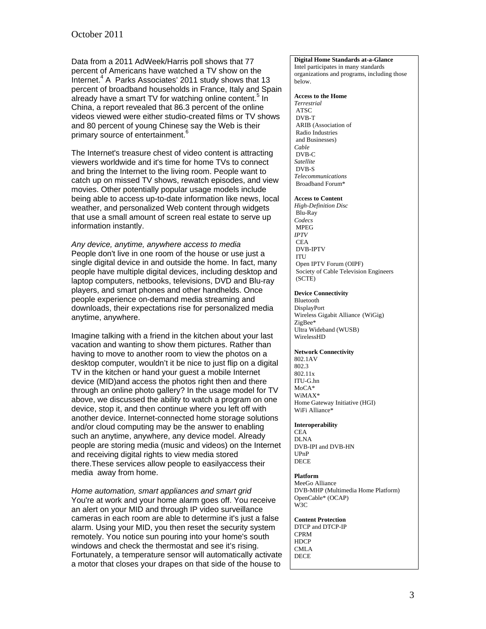Data from a 2011 AdWeek/Harris poll shows that 77 percent of Americans have watched a TV show on the .<br>Internet.<sup>4</sup> A Parks Associates' 2011 study shows that 13 percent of broadband households in France, Italy and Spain already have a smart TV for watching online content.<sup>5</sup> In China, a report revealed that 86.3 percent of the online videos viewed were either studio-created films or TV shows and 80 percent of young Chinese say the Web is their primary source of entertainment.<sup>6</sup>

The Internet's treasure chest of video content is attracting viewers worldwide and it's time for home TVs to connect and bring the Internet to the living room. People want to catch up on missed TV shows, rewatch episodes, and view movies. Other potentially popular usage models include being able to access up-to-date information like news, local weather, and personalized Web content through widgets that use a small amount of screen real estate to serve up information instantly.

*Any device, anytime, anywhere access to media*  People don't live in one room of the house or use just a single digital device in and outside the home. In fact, many people have multiple digital devices, including desktop and laptop computers, netbooks, televisions, DVD and Blu-ray players, and smart phones and other handhelds. Once people experience on-demand media streaming and downloads, their expectations rise for personalized media anytime, anywhere.

Imagine talking with a friend in the kitchen about your last vacation and wanting to show them pictures. Rather than having to move to another room to view the photos on a desktop computer, wouldn't it be nice to just flip on a digital TV in the kitchen or hand your guest a mobile Internet device (MID)and access the photos right then and there through an online photo gallery? In the usage model for TV above, we discussed the ability to watch a program on one device, stop it, and then continue where you left off with another device. Internet-connected home storage solutions and/or cloud computing may be the answer to enabling such an anytime, anywhere, any device model. Already people are storing media (music and videos) on the Internet and receiving digital rights to view media stored there.These services allow people to easilyaccess their media away from home.

*Home automation, smart appliances and smart grid*  You're at work and your home alarm goes off. You receive an alert on your MID and through IP video surveillance cameras in each room are able to determine it's just a false alarm. Using your MID, you then reset the security system remotely. You notice sun pouring into your home's south windows and check the thermostat and see it's rising. Fortunately, a temperature sensor will automatically activate a motor that closes your drapes on that side of the house to

#### **Digital Home Standards at-a-Glance**

Intel participates in many standards organizations and programs, including those below.

#### **Access to the Home**

*Terrestrial*  ATSC DVB-T ARIB (Association of Radio Industries and Businesses) *Cable*  DVB-C *Satellite*  DVB-S *Telecommunications*  Broadband Forum\*

#### **Access to Content**

*High-Definition Disc*  Blu-Ray *Codecs*  MPEG *IPTV*  CEA DVB-IPTV ITU Open IPTV Forum (OIPF) Society of Cable Television Engineers (SCTE)

#### **Device Connectivity**

Bluetooth DisplayPort Wireless Gigabit Alliance (WiGig) ZigBee\* Ultra Wideband (WUSB) WirelessHD

#### **Network Connectivity**

802.1AV 802.3 802.11x ITU-G.hn MoCA\* WiMAX\* Home Gateway Initiative (HGI) WiFi Alliance\*

#### **Interoperability**

CEA DLNA DVB-IPI and DVB-HN UPnP DECE

#### **Platform**

MeeGo Alliance DVB-MHP (Multimedia Home Platform) OpenCable\* (OCAP) W3C

**Content Protection**  DTCP and DTCP-IP CPRM **HDCP** CMLA DECE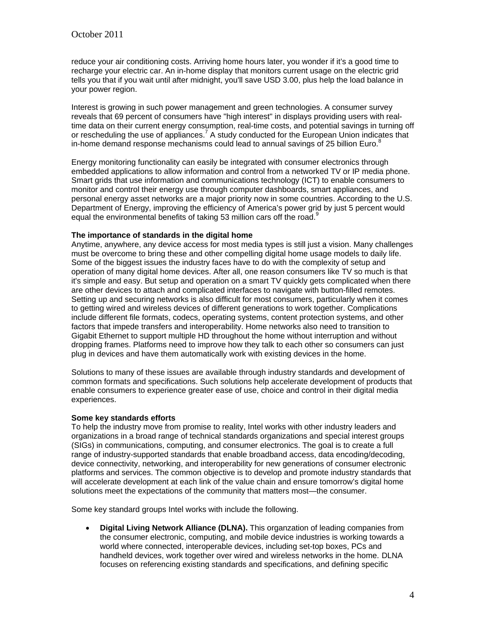reduce your air conditioning costs. Arriving home hours later, you wonder if it's a good time to recharge your electric car. An in-home display that monitors current usage on the electric grid tells you that if you wait until after midnight, you'll save USD 3.00, plus help the load balance in your power region.

Interest is growing in such power management and green technologies. A consumer survey reveals that 69 percent of consumers have "high interest" in displays providing users with realtime data on their current energy consumption, real-time costs, and potential savings in turning off or rescheduling the use of appliances.<sup>7</sup> A study conducted for the European Union indicates that in-home demand response mechanisms could lead to annual savings of 25 billion Euro. $8$ 

Energy monitoring functionality can easily be integrated with consumer electronics through embedded applications to allow information and control from a networked TV or IP media phone. Smart grids that use information and communications technology (ICT) to enable consumers to monitor and control their energy use through computer dashboards, smart appliances, and personal energy asset networks are a major priority now in some countries. According to the U.S. Department of Energy, improving the efficiency of America's power grid by just 5 percent would equal the environmental benefits of taking 53 million cars off the road.<sup>9</sup>

## **The importance of standards in the digital home**

Anytime, anywhere, any device access for most media types is still just a vision. Many challenges must be overcome to bring these and other compelling digital home usage models to daily life. Some of the biggest issues the industry faces have to do with the complexity of setup and operation of many digital home devices. After all, one reason consumers like TV so much is that it's simple and easy. But setup and operation on a smart TV quickly gets complicated when there are other devices to attach and complicated interfaces to navigate with button-filled remotes. Setting up and securing networks is also difficult for most consumers, particularly when it comes to getting wired and wireless devices of different generations to work together. Complications include different file formats, codecs, operating systems, content protection systems, and other factors that impede transfers and interoperability. Home networks also need to transition to Gigabit Ethernet to support multiple HD throughout the home without interruption and without dropping frames. Platforms need to improve how they talk to each other so consumers can just plug in devices and have them automatically work with existing devices in the home.

Solutions to many of these issues are available through industry standards and development of common formats and specifications. Such solutions help accelerate development of products that enable consumers to experience greater ease of use, choice and control in their digital media experiences.

## **Some key standards efforts**

To help the industry move from promise to reality, Intel works with other industry leaders and organizations in a broad range of technical standards organizations and special interest groups (SIGs) in communications, computing, and consumer electronics. The goal is to create a full range of industry-supported standards that enable broadband access, data encoding/decoding, device connectivity, networking, and interoperability for new generations of consumer electronic platforms and services. The common objective is to develop and promote industry standards that will accelerate development at each link of the value chain and ensure tomorrow's digital home solutions meet the expectations of the community that matters most—the consumer.

Some key standard groups Intel works with include the following.

 **Digital Living Network Alliance (DLNA).** This organzation of leading companies from the consumer electronic, computing, and mobile device industries is working towards a world where connected, interoperable devices, including set-top boxes, PCs and handheld devices, work together over wired and wireless networks in the home. DLNA focuses on referencing existing standards and specifications, and defining specific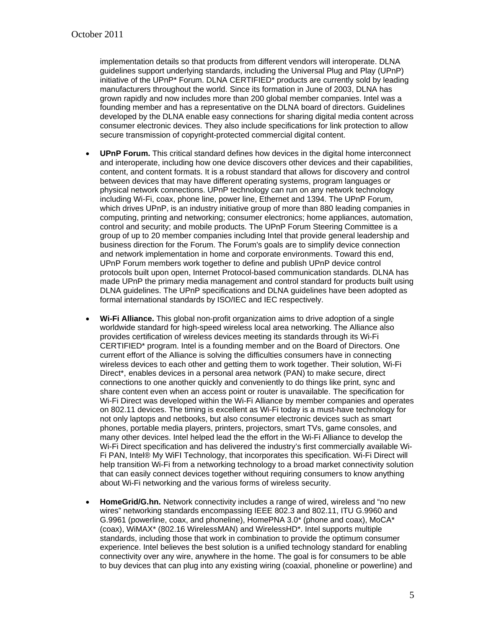implementation details so that products from different vendors will interoperate. DLNA guidelines support underlying standards, including the Universal Plug and Play (UPnP) initiative of the UPnP\* Forum. DLNA CERTIFIED\* products are currently sold by leading manufacturers throughout the world. Since its formation in June of 2003, DLNA has grown rapidly and now includes more than 200 global member companies. Intel was a founding member and has a representative on the DLNA board of directors. Guidelines developed by the DLNA enable easy connections for sharing digital media content across consumer electronic devices. They also include specifications for link protection to allow secure transmission of copyright-protected commercial digital content.

- **UPnP Forum.** This critical standard defines how devices in the digital home interconnect and interoperate, including how one device discovers other devices and their capabilities, content, and content formats. It is a robust standard that allows for discovery and control between devices that may have different operating systems, program languages or physical network connections. UPnP technology can run on any network technology including Wi-Fi, coax, phone line, power line, Ethernet and 1394. The UPnP Forum, which drives UPnP, is an industry initiative group of more than 880 leading companies in computing, printing and networking; consumer electronics; home appliances, automation, control and security; and mobile products. The UPnP Forum Steering Committee is a group of up to 20 member companies including Intel that provide general leadership and business direction for the Forum. The Forum's goals are to simplify device connection and network implementation in home and corporate environments. Toward this end, UPnP Forum members work together to define and publish UPnP device control protocols built upon open, Internet Protocol-based communication standards. DLNA has made UPnP the primary media management and control standard for products built using DLNA guidelines. The UPnP specifications and DLNA guidelines have been adopted as formal international standards by ISO/IEC and IEC respectively.
- **Wi-Fi Alliance.** This global non-profit organization aims to drive adoption of a single worldwide standard for high-speed wireless local area networking. The Alliance also provides certification of wireless devices meeting its standards through its Wi-Fi CERTIFIED\* program. Intel is a founding member and on the Board of Directors. One current effort of the Alliance is solving the difficulties consumers have in connecting wireless devices to each other and getting them to work together. Their solution, Wi-Fi Direct\*, enables devices in a personal area network (PAN) to make secure, direct connections to one another quickly and conveniently to do things like print, sync and share content even when an access point or router is unavailable. The specification for Wi-Fi Direct was developed within the Wi-Fi Alliance by member companies and operates on 802.11 devices. The timing is excellent as Wi-Fi today is a must-have technology for not only laptops and netbooks, but also consumer electronic devices such as smart phones, portable media players, printers, projectors, smart TVs, game consoles, and many other devices. Intel helped lead the the effort in the Wi-Fi Alliance to develop the Wi-Fi Direct specification and has delivered the industry's first commercially available Wi-Fi PAN, Intel® My WiFI Technology, that incorporates this specification. Wi-Fi Direct will help transition Wi-Fi from a networking technology to a broad market connectivity solution that can easily connect devices together without requiring consumers to know anything about Wi-Fi networking and the various forms of wireless security.
- **HomeGrid/G.hn.** Network connectivity includes a range of wired, wireless and "no new wires" networking standards encompassing IEEE 802.3 and 802.11, ITU G.9960 and G.9961 (powerline, coax, and phoneline), HomePNA 3.0\* (phone and coax), MoCA\* (coax), WiMAX\* (802.16 WirelessMAN) and WirelessHD\*. Intel supports multiple standards, including those that work in combination to provide the optimum consumer experience. Intel believes the best solution is a unified technology standard for enabling connectivity over any wire, anywhere in the home. The goal is for consumers to be able to buy devices that can plug into any existing wiring (coaxial, phoneline or powerline) and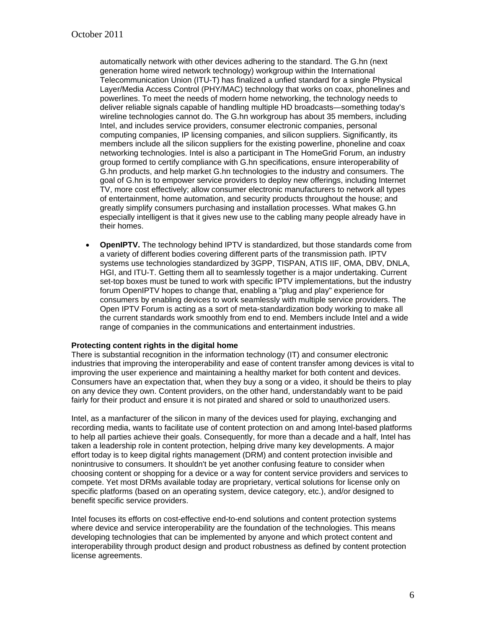automatically network with other devices adhering to the standard. The G.hn (next generation home wired network technology) workgroup within the International Telecommunication Union (ITU-T) has finalized a unfied standard for a single Physical Layer/Media Access Control (PHY/MAC) technology that works on coax, phonelines and powerlines. To meet the needs of modern home networking, the technology needs to deliver reliable signals capable of handling multiple HD broadcasts—something today's wireline technologies cannot do. The G.hn workgroup has about 35 members, including Intel, and includes service providers, consumer electronic companies, personal computing companies, IP licensing companies, and silicon suppliers. Significantly, its members include all the silicon suppliers for the existing powerline, phoneline and coax networking technologies. Intel is also a participant in The HomeGrid Forum, an industry group formed to certify compliance with G.hn specifications, ensure interoperability of G.hn products, and help market G.hn technologies to the industry and consumers. The goal of G.hn is to empower service providers to deploy new offerings, including Internet TV, more cost effectively; allow consumer electronic manufacturers to network all types of entertainment, home automation, and security products throughout the house; and greatly simplify consumers purchasing and installation processes. What makes G.hn especially intelligent is that it gives new use to the cabling many people already have in their homes.

**OpenIPTV.** The technology behind IPTV is standardized, but those standards come from a variety of different bodies covering different parts of the transmission path. IPTV systems use technologies standardized by 3GPP, TISPAN, ATIS IIF, OMA, DBV, DNLA, HGI, and ITU-T. Getting them all to seamlessly together is a major undertaking. Current set-top boxes must be tuned to work with specific IPTV implementations, but the industry forum OpenIPTV hopes to change that, enabling a "plug and play" experience for consumers by enabling devices to work seamlessly with multiple service providers. The Open IPTV Forum is acting as a sort of meta-standardization body working to make all the current standards work smoothly from end to end. Members include Intel and a wide range of companies in the communications and entertainment industries.

## **Protecting content rights in the digital home**

There is substantial recognition in the information technology (IT) and consumer electronic industries that improving the interoperability and ease of content transfer among devices is vital to improving the user experience and maintaining a healthy market for both content and devices. Consumers have an expectation that, when they buy a song or a video, it should be theirs to play on any device they own. Content providers, on the other hand, understandably want to be paid fairly for their product and ensure it is not pirated and shared or sold to unauthorized users.

Intel, as a manfacturer of the silicon in many of the devices used for playing, exchanging and recording media, wants to facilitate use of content protection on and among Intel-based platforms to help all parties achieve their goals. Consequently, for more than a decade and a half, Intel has taken a leadership role in content protection, helping drive many key developments. A major effort today is to keep digital rights management (DRM) and content protection invisible and nonintrusive to consumers. It shouldn't be yet another confusing feature to consider when choosing content or shopping for a device or a way for content service providers and services to compete. Yet most DRMs available today are proprietary, vertical solutions for license only on specific platforms (based on an operating system, device category, etc.), and/or designed to benefit specific service providers.

Intel focuses its efforts on cost-effective end-to-end solutions and content protection systems where device and service interoperability are the foundation of the technologies. This means developing technologies that can be implemented by anyone and which protect content and interoperability through product design and product robustness as defined by content protection license agreements.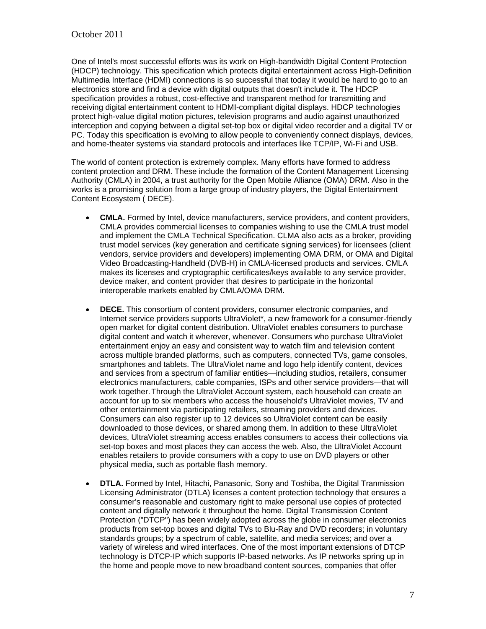One of Intel's most successful efforts was its work on High-bandwidth Digital Content Protection (HDCP) technology. This specification which protects digital entertainment across High-Definition Multimedia Interface (HDMI) connections is so successful that today it would be hard to go to an electronics store and find a device with digital outputs that doesn't include it. The HDCP specification provides a robust, cost-effective and transparent method for transmitting and receiving digital entertainment content to HDMI-compliant digital displays. HDCP technologies protect high-value digital motion pictures, television programs and audio against unauthorized interception and copying between a digital set-top box or digital video recorder and a digital TV or PC. Today this specification is evolving to allow people to conveniently connect displays, devices, and home-theater systems via standard protocols and interfaces like TCP/IP, Wi-Fi and USB.

The world of content protection is extremely complex. Many efforts have formed to address content protection and DRM. These include the formation of the Content Management Licensing Authority (CMLA) in 2004, a trust authority for the Open Mobile Alliance (OMA) DRM. Also in the works is a promising solution from a large group of industry players, the Digital Entertainment Content Ecosystem ( DECE).

- **CMLA.** Formed by Intel, device manufacturers, service providers, and content providers, CMLA provides commercial licenses to companies wishing to use the CMLA trust model and implement the CMLA Technical Specification. CLMA also acts as a broker, providing trust model services (key generation and certificate signing services) for licensees (client vendors, service providers and developers) implementing OMA DRM, or OMA and Digital Video Broadcasting-Handheld (DVB-H) in CMLA-licensed products and services. CMLA makes its licenses and cryptographic certificates/keys available to any service provider, device maker, and content provider that desires to participate in the horizontal interoperable markets enabled by CMLA/OMA DRM.
- **DECE.** This consortium of content providers, consumer electronic companies, and Internet service providers supports UltraViolet\*, a new framework for a consumer-friendly open market for digital content distribution. UltraViolet enables consumers to purchase digital content and watch it wherever, whenever. Consumers who purchase UltraViolet entertainment enjoy an easy and consistent way to watch film and television content across multiple branded platforms, such as computers, connected TVs, game consoles, smartphones and tablets. The UltraViolet name and logo help identify content, devices and services from a spectrum of familiar entities—including studios, retailers, consumer electronics manufacturers, cable companies, ISPs and other service providers—that will work together.Through the UltraViolet Account system, each household can create an account for up to six members who access the household's UltraViolet movies, TV and other entertainment via participating retailers, streaming providers and devices. Consumers can also register up to 12 devices so UltraViolet content can be easily downloaded to those devices, or shared among them. In addition to these UltraViolet devices, UltraViolet streaming access enables consumers to access their collections via set-top boxes and most places they can access the web. Also, the UltraViolet Account enables retailers to provide consumers with a copy to use on DVD players or other physical media, such as portable flash memory.
- **DTLA.** Formed by Intel, Hitachi, Panasonic, Sony and Toshiba, the Digital Tranmission Licensing Administrator (DTLA) licenses a content protection technology that ensures a consumer's reasonable and customary right to make personal use copies of protected content and digitally network it throughout the home. Digital Transmission Content Protection ("DTCP") has been widely adopted across the globe in consumer electronics products from set-top boxes and digital TVs to Blu-Ray and DVD recorders; in voluntary standards groups; by a spectrum of cable, satellite, and media services; and over a variety of wireless and wired interfaces. One of the most important extensions of DTCP technology is DTCP-IP which supports IP-based networks. As IP networks spring up in the home and people move to new broadband content sources, companies that offer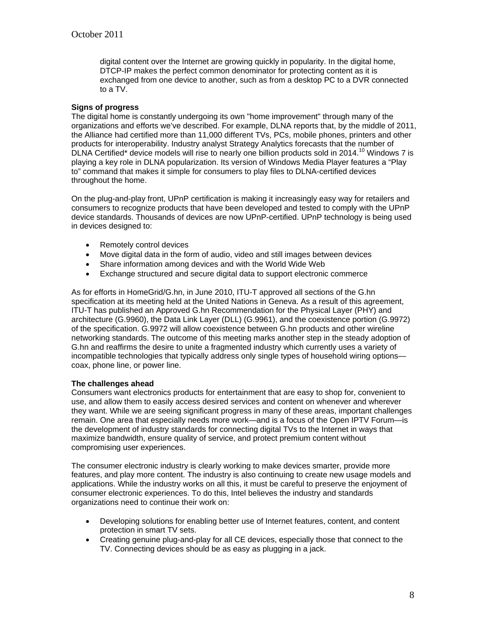digital content over the Internet are growing quickly in popularity. In the digital home, DTCP-IP makes the perfect common denominator for protecting content as it is exchanged from one device to another, such as from a desktop PC to a DVR connected to a TV.

## **Signs of progress**

The digital home is constantly undergoing its own "home improvement" through many of the organizations and efforts we've described. For example, DLNA reports that, by the middle of 2011, the Alliance had certified more than 11,000 different TVs, PCs, mobile phones, printers and other products for interoperability. Industry analyst Strategy Analytics forecasts that the number of DLNA Certified\* device models will rise to nearly one billion products sold in 2014.<sup>10</sup> Windows 7 is playing a key role in DLNA popularization. Its version of Windows Media Player features a "Play to" command that makes it simple for consumers to play files to DLNA-certified devices throughout the home.

On the plug-and-play front, UPnP certification is making it increasingly easy way for retailers and consumers to recognize products that have been developed and tested to comply with the UPnP device standards. Thousands of devices are now UPnP-certified. UPnP technology is being used in devices designed to:

- Remotely control devices
- Move digital data in the form of audio, video and still images between devices
- Share information among devices and with the World Wide Web
- Exchange structured and secure digital data to support electronic commerce

As for efforts in HomeGrid/G.hn, in June 2010, ITU-T approved all sections of the G.hn specification at its meeting held at the United Nations in Geneva. As a result of this agreement, ITU-T has published an Approved G.hn Recommendation for the Physical Layer (PHY) and architecture (G.9960), the Data Link Layer (DLL) (G.9961), and the coexistence portion (G.9972) of the specification. G.9972 will allow coexistence between G.hn products and other wireline networking standards. The outcome of this meeting marks another step in the steady adoption of G.hn and reaffirms the desire to unite a fragmented industry which currently uses a variety of incompatible technologies that typically address only single types of household wiring options coax, phone line, or power line.

## **The challenges ahead**

Consumers want electronics products for entertainment that are easy to shop for, convenient to use, and allow them to easily access desired services and content on whenever and wherever they want. While we are seeing significant progress in many of these areas, important challenges remain. One area that especially needs more work—and is a focus of the Open IPTV Forum—is the development of industry standards for connecting digital TVs to the Internet in ways that maximize bandwidth, ensure quality of service, and protect premium content without compromising user experiences.

The consumer electronic industry is clearly working to make devices smarter, provide more features, and play more content. The industry is also continuing to create new usage models and applications. While the industry works on all this, it must be careful to preserve the enjoyment of consumer electronic experiences. To do this, Intel believes the industry and standards organizations need to continue their work on:

- Developing solutions for enabling better use of Internet features, content, and content protection in smart TV sets.
- Creating genuine plug-and-play for all CE devices, especially those that connect to the TV. Connecting devices should be as easy as plugging in a jack.